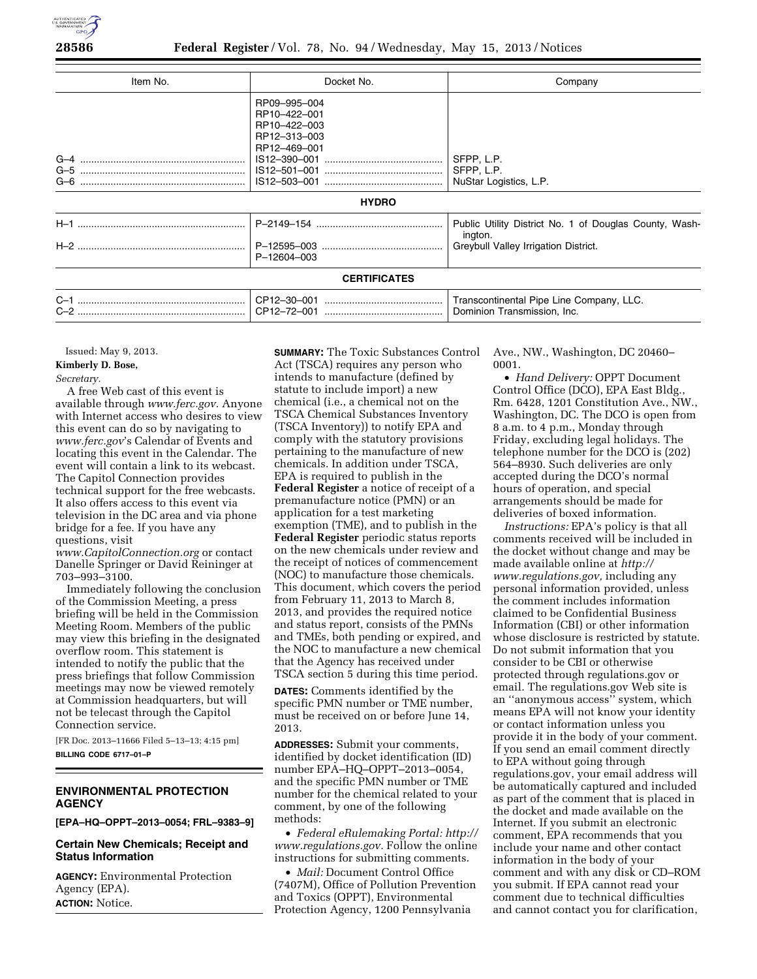

| Item No. | Docket No.                                                                   | Company                                                                                                   |
|----------|------------------------------------------------------------------------------|-----------------------------------------------------------------------------------------------------------|
|          | RP09-995-004<br>RP10-422-001<br>RP10-422-003<br>RP12-313-003<br>RP12-469-001 | SFPP, L.P.<br>SFPP, L.P.<br>NuStar Logistics, L.P.                                                        |
|          | <b>HYDRO</b>                                                                 |                                                                                                           |
|          | P-12604-003                                                                  | Public Utility District No. 1 of Douglas County, Wash-<br>ington.<br>Greybull Valley Irrigation District. |
|          | <b>CERTIFICATES</b>                                                          |                                                                                                           |
|          |                                                                              | Transcontinental Pipe Line Company, LLC.<br>Dominion Transmission, Inc.                                   |

Issued: May 9, 2013. **Kimberly D. Bose,** 

# *Secretary.*

A free Web cast of this event is available through *[www.ferc.gov.](http://www.ferc.gov)* Anyone with Internet access who desires to view this event can do so by navigating to *[www.ferc.gov](http://www.ferc.gov)*'s Calendar of Events and locating this event in the Calendar. The event will contain a link to its webcast. The Capitol Connection provides technical support for the free webcasts. It also offers access to this event via television in the DC area and via phone bridge for a fee. If you have any questions, visit

*[www.CapitolConnection.org](http://www.CapitolConnection.org)* or contact Danelle Springer or David Reininger at 703–993–3100.

Immediately following the conclusion of the Commission Meeting, a press briefing will be held in the Commission Meeting Room. Members of the public may view this briefing in the designated overflow room. This statement is intended to notify the public that the press briefings that follow Commission meetings may now be viewed remotely at Commission headquarters, but will not be telecast through the Capitol Connection service.

[FR Doc. 2013–11666 Filed 5–13–13; 4:15 pm] **BILLING CODE 6717–01–P** 

# **ENVIRONMENTAL PROTECTION AGENCY**

**[EPA–HQ–OPPT–2013–0054; FRL–9383–9]** 

# **Certain New Chemicals; Receipt and Status Information**

**AGENCY:** Environmental Protection Agency (EPA). **ACTION:** Notice.

**SUMMARY:** The Toxic Substances Control Act (TSCA) requires any person who intends to manufacture (defined by statute to include import) a new chemical (i.e., a chemical not on the TSCA Chemical Substances Inventory (TSCA Inventory)) to notify EPA and comply with the statutory provisions pertaining to the manufacture of new chemicals. In addition under TSCA, EPA is required to publish in the **Federal Register** a notice of receipt of a premanufacture notice (PMN) or an application for a test marketing exemption (TME), and to publish in the **Federal Register** periodic status reports on the new chemicals under review and the receipt of notices of commencement (NOC) to manufacture those chemicals. This document, which covers the period from February 11, 2013 to March 8, 2013, and provides the required notice and status report, consists of the PMNs and TMEs, both pending or expired, and the NOC to manufacture a new chemical that the Agency has received under TSCA section 5 during this time period.

**DATES:** Comments identified by the specific PMN number or TME number, must be received on or before June 14, 2013.

**ADDRESSES:** Submit your comments, identified by docket identification (ID) number EPA–HQ–OPPT–2013–0054, and the specific PMN number or TME number for the chemical related to your comment, by one of the following methods:

• *Federal eRulemaking Portal: [http://](http://www.regulations.gov)  [www.regulations.gov.](http://www.regulations.gov)* Follow the online instructions for submitting comments.

• *Mail:* Document Control Office (7407M), Office of Pollution Prevention and Toxics (OPPT), Environmental Protection Agency, 1200 Pennsylvania

Ave., NW., Washington, DC 20460– 0001.

• *Hand Delivery:* OPPT Document Control Office (DCO), EPA East Bldg., Rm. 6428, 1201 Constitution Ave., NW., Washington, DC. The DCO is open from 8 a.m. to 4 p.m., Monday through Friday, excluding legal holidays. The telephone number for the DCO is (202) 564–8930. Such deliveries are only accepted during the DCO's normal hours of operation, and special arrangements should be made for deliveries of boxed information.

*Instructions:* EPA's policy is that all comments received will be included in the docket without change and may be made available online at *[http://](http://www.regulations.gov)  [www.regulations.gov,](http://www.regulations.gov)* including any personal information provided, unless the comment includes information claimed to be Confidential Business Information (CBI) or other information whose disclosure is restricted by statute. Do not submit information that you consider to be CBI or otherwise protected through regulations.gov or email. The regulations.gov Web site is an ''anonymous access'' system, which means EPA will not know your identity or contact information unless you provide it in the body of your comment. If you send an email comment directly to EPA without going through regulations.gov, your email address will be automatically captured and included as part of the comment that is placed in the docket and made available on the Internet. If you submit an electronic comment, EPA recommends that you include your name and other contact information in the body of your comment and with any disk or CD–ROM you submit. If EPA cannot read your comment due to technical difficulties and cannot contact you for clarification,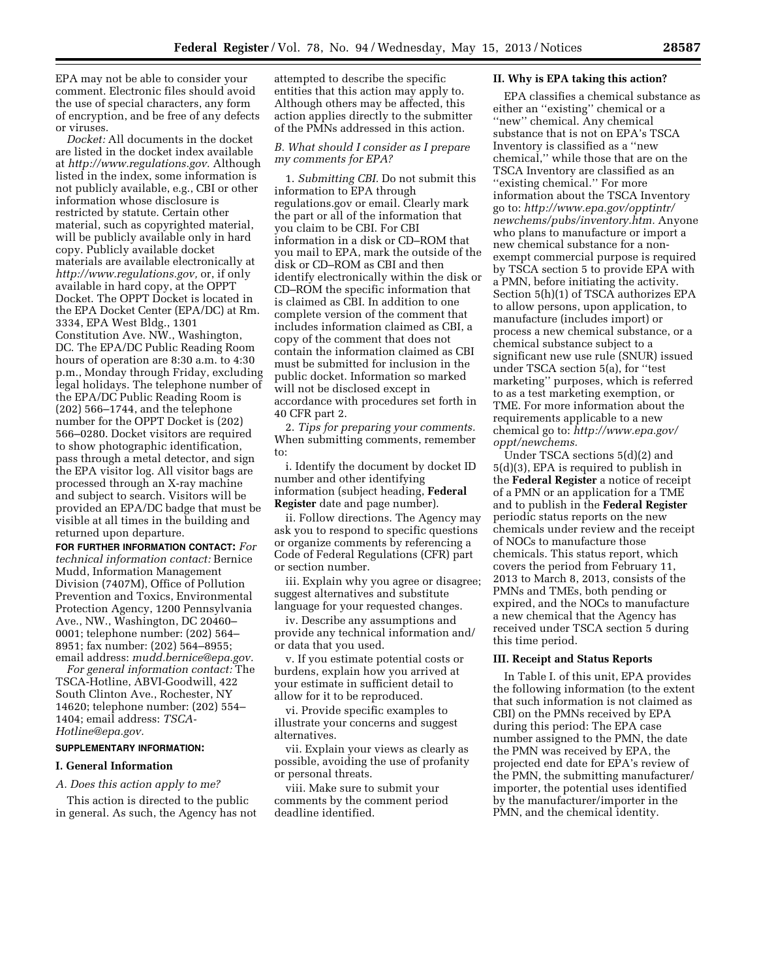EPA may not be able to consider your comment. Electronic files should avoid the use of special characters, any form of encryption, and be free of any defects or viruses.

*Docket:* All documents in the docket are listed in the docket index available at *[http://www.regulations.gov.](http://www.regulations.gov)* Although listed in the index, some information is not publicly available, e.g., CBI or other information whose disclosure is restricted by statute. Certain other material, such as copyrighted material, will be publicly available only in hard copy. Publicly available docket materials are available electronically at *[http://www.regulations.gov,](http://www.regulations.gov)* or, if only available in hard copy, at the OPPT Docket. The OPPT Docket is located in the EPA Docket Center (EPA/DC) at Rm. 3334, EPA West Bldg., 1301 Constitution Ave. NW., Washington, DC. The EPA/DC Public Reading Room hours of operation are 8:30 a.m. to 4:30 p.m., Monday through Friday, excluding legal holidays. The telephone number of the EPA/DC Public Reading Room is (202) 566–1744, and the telephone number for the OPPT Docket is (202) 566–0280. Docket visitors are required to show photographic identification, pass through a metal detector, and sign the EPA visitor log. All visitor bags are processed through an X-ray machine and subject to search. Visitors will be provided an EPA/DC badge that must be visible at all times in the building and returned upon departure.

**FOR FURTHER INFORMATION CONTACT:** *For technical information contact:* Bernice Mudd, Information Management Division (7407M), Office of Pollution Prevention and Toxics, Environmental Protection Agency, 1200 Pennsylvania Ave., NW., Washington, DC 20460– 0001; telephone number: (202) 564– 8951; fax number: (202) 564–8955; email address: *[mudd.bernice@epa.gov.](mailto:mudd.bernice@epa.gov)* 

*For general information contact:* The TSCA-Hotline, ABVI-Goodwill, 422 South Clinton Ave., Rochester, NY 14620; telephone number: (202) 554– 1404; email address: *[TSCA-](mailto:TSCA-Hotline@epa.gov)[Hotline@epa.gov.](mailto:TSCA-Hotline@epa.gov)* 

## **SUPPLEMENTARY INFORMATION:**

### **I. General Information**

#### *A. Does this action apply to me?*

This action is directed to the public in general. As such, the Agency has not

attempted to describe the specific entities that this action may apply to. Although others may be affected, this action applies directly to the submitter of the PMNs addressed in this action.

## *B. What should I consider as I prepare my comments for EPA?*

1. *Submitting CBI.* Do not submit this information to EPA through regulations.gov or email. Clearly mark the part or all of the information that you claim to be CBI. For CBI information in a disk or CD–ROM that you mail to EPA, mark the outside of the disk or CD–ROM as CBI and then identify electronically within the disk or CD–ROM the specific information that is claimed as CBI. In addition to one complete version of the comment that includes information claimed as CBI, a copy of the comment that does not contain the information claimed as CBI must be submitted for inclusion in the public docket. Information so marked will not be disclosed except in accordance with procedures set forth in 40 CFR part 2.

2. *Tips for preparing your comments.*  When submitting comments, remember to:

i. Identify the document by docket ID number and other identifying information (subject heading, **Federal Register** date and page number).

ii. Follow directions. The Agency may ask you to respond to specific questions or organize comments by referencing a Code of Federal Regulations (CFR) part or section number.

iii. Explain why you agree or disagree; suggest alternatives and substitute language for your requested changes.

iv. Describe any assumptions and provide any technical information and/ or data that you used.

v. If you estimate potential costs or burdens, explain how you arrived at your estimate in sufficient detail to allow for it to be reproduced.

vi. Provide specific examples to illustrate your concerns and suggest alternatives.

vii. Explain your views as clearly as possible, avoiding the use of profanity or personal threats.

viii. Make sure to submit your comments by the comment period deadline identified.

#### **II. Why is EPA taking this action?**

EPA classifies a chemical substance as either an ''existing'' chemical or a "new" chemical. Any chemical substance that is not on EPA's TSCA Inventory is classified as a ''new chemical,'' while those that are on the TSCA Inventory are classified as an ''existing chemical.'' For more information about the TSCA Inventory go to: *[http://www.epa.gov/opptintr/](http://www.epa.gov/opptintr/newchems/pubs/inventory.htm)  [newchems/pubs/inventory.htm.](http://www.epa.gov/opptintr/newchems/pubs/inventory.htm)* Anyone who plans to manufacture or import a new chemical substance for a nonexempt commercial purpose is required by TSCA section 5 to provide EPA with a PMN, before initiating the activity. Section 5(h)(1) of TSCA authorizes EPA to allow persons, upon application, to manufacture (includes import) or process a new chemical substance, or a chemical substance subject to a significant new use rule (SNUR) issued under TSCA section 5(a), for ''test marketing'' purposes, which is referred to as a test marketing exemption, or TME. For more information about the requirements applicable to a new chemical go to: *[http://www.epa.gov/](http://www.epa.gov/oppt/newchems)  [oppt/newchems.](http://www.epa.gov/oppt/newchems)* 

Under TSCA sections 5(d)(2) and 5(d)(3), EPA is required to publish in the **Federal Register** a notice of receipt of a PMN or an application for a TME and to publish in the **Federal Register**  periodic status reports on the new chemicals under review and the receipt of NOCs to manufacture those chemicals. This status report, which covers the period from February 11, 2013 to March 8, 2013, consists of the PMNs and TMEs, both pending or expired, and the NOCs to manufacture a new chemical that the Agency has received under TSCA section 5 during this time period.

### **III. Receipt and Status Reports**

In Table I. of this unit, EPA provides the following information (to the extent that such information is not claimed as CBI) on the PMNs received by EPA during this period: The EPA case number assigned to the PMN, the date the PMN was received by EPA, the projected end date for EPA's review of the PMN, the submitting manufacturer/ importer, the potential uses identified by the manufacturer/importer in the PMN, and the chemical identity.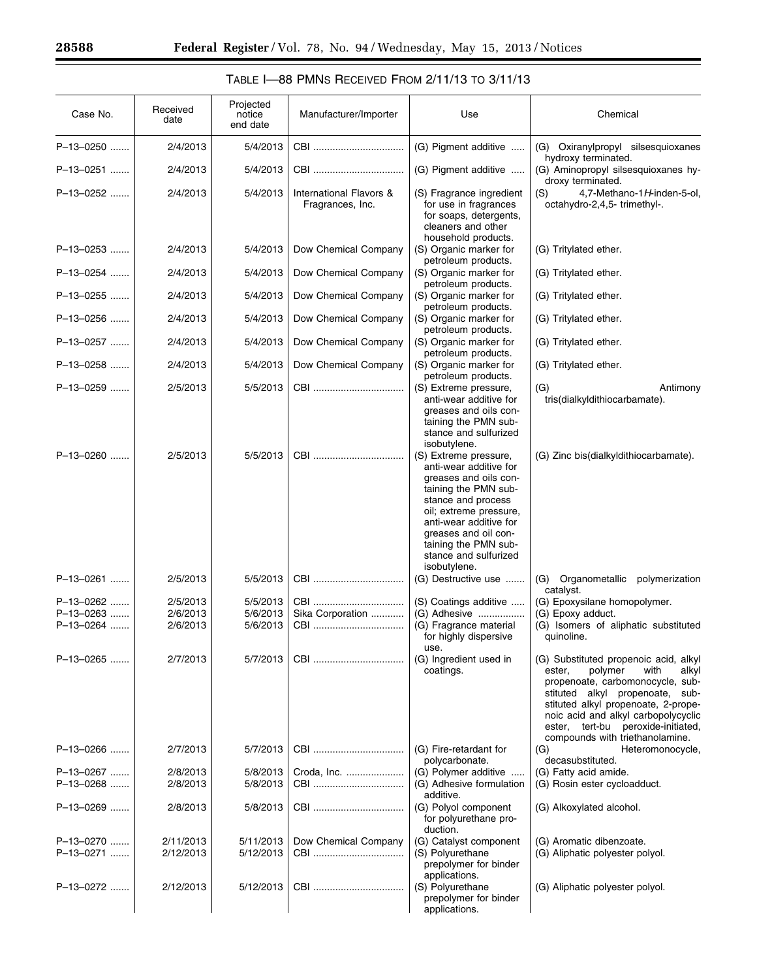| TABLE $I$ —88 PMNS RECEIVED FROM $2/11/13$ to $3/11/13$ |  |  |  |  |  |  |
|---------------------------------------------------------|--|--|--|--|--|--|
|---------------------------------------------------------|--|--|--|--|--|--|

| Case No.                            | Received<br>date                 | Projected<br>notice<br>end date  | Manufacturer/Importer                       | Use                                                                                                                                                                                                                                                                 | Chemical                                                                                                                                                                                                                                                                                                     |
|-------------------------------------|----------------------------------|----------------------------------|---------------------------------------------|---------------------------------------------------------------------------------------------------------------------------------------------------------------------------------------------------------------------------------------------------------------------|--------------------------------------------------------------------------------------------------------------------------------------------------------------------------------------------------------------------------------------------------------------------------------------------------------------|
| P-13-0250                           | 2/4/2013                         | 5/4/2013                         | CBI                                         | (G) Pigment additive                                                                                                                                                                                                                                                | (G) Oxiranylpropyl silsesquioxanes<br>hydroxy terminated.                                                                                                                                                                                                                                                    |
| P-13-0251                           | 2/4/2013                         | 5/4/2013                         | CBI                                         | (G) Pigment additive                                                                                                                                                                                                                                                | (G) Aminopropyl silsesquioxanes hy-<br>droxy terminated.                                                                                                                                                                                                                                                     |
| P-13-0252                           | 2/4/2013                         | 5/4/2013                         | International Flavors &<br>Fragrances, Inc. | (S) Fragrance ingredient<br>for use in fragrances<br>for soaps, detergents,<br>cleaners and other<br>household products.                                                                                                                                            | 4,7-Methano-1H-inden-5-ol,<br>(S)<br>octahydro-2,4,5-trimethyl-.                                                                                                                                                                                                                                             |
| P-13-0253                           | 2/4/2013                         | 5/4/2013                         | Dow Chemical Company                        | (S) Organic marker for<br>petroleum products.                                                                                                                                                                                                                       | (G) Tritylated ether.                                                                                                                                                                                                                                                                                        |
| P-13-0254                           | 2/4/2013                         | 5/4/2013                         | Dow Chemical Company                        | (S) Organic marker for<br>petroleum products.                                                                                                                                                                                                                       | (G) Tritylated ether.                                                                                                                                                                                                                                                                                        |
| P-13-0255                           | 2/4/2013                         | 5/4/2013                         | Dow Chemical Company                        | (S) Organic marker for<br>petroleum products.                                                                                                                                                                                                                       | (G) Tritylated ether.                                                                                                                                                                                                                                                                                        |
| P-13-0256                           | 2/4/2013                         | 5/4/2013                         | Dow Chemical Company                        | (S) Organic marker for<br>petroleum products.                                                                                                                                                                                                                       | (G) Tritylated ether.                                                                                                                                                                                                                                                                                        |
| P-13-0257                           | 2/4/2013                         | 5/4/2013                         | Dow Chemical Company                        | (S) Organic marker for<br>petroleum products.                                                                                                                                                                                                                       | (G) Tritylated ether.                                                                                                                                                                                                                                                                                        |
| P-13-0258                           | 2/4/2013                         | 5/4/2013                         | Dow Chemical Company                        | (S) Organic marker for<br>petroleum products.                                                                                                                                                                                                                       | (G) Tritylated ether.                                                                                                                                                                                                                                                                                        |
| P-13-0259                           | 2/5/2013                         | 5/5/2013                         | CBI                                         | (S) Extreme pressure,<br>anti-wear additive for<br>greases and oils con-<br>taining the PMN sub-<br>stance and sulfurized<br>isobutylene.                                                                                                                           | Antimony<br>(G)<br>tris(dialkyldithiocarbamate).                                                                                                                                                                                                                                                             |
| P-13-0260                           | 2/5/2013                         | 5/5/2013                         | CBI                                         | (S) Extreme pressure,<br>anti-wear additive for<br>greases and oils con-<br>taining the PMN sub-<br>stance and process<br>oil; extreme pressure,<br>anti-wear additive for<br>greases and oil con-<br>taining the PMN sub-<br>stance and sulfurized<br>isobutylene. | (G) Zinc bis(dialkyldithiocarbamate).                                                                                                                                                                                                                                                                        |
| P-13-0261                           | 2/5/2013                         | 5/5/2013                         | CBI                                         | (G) Destructive use                                                                                                                                                                                                                                                 | Organometallic<br>(G)<br>polymerization<br>catalyst.                                                                                                                                                                                                                                                         |
| P-13-0262<br>P-13-0263<br>P-13-0264 | 2/5/2013<br>2/6/2013<br>2/6/2013 | 5/5/2013<br>5/6/2013<br>5/6/2013 | CBI<br>Sika Corporation<br>CBI              | (S) Coatings additive<br>(G) Adhesive<br>(G) Fragrance material<br>for highly dispersive<br>use.                                                                                                                                                                    | (G) Epoxysilane homopolymer.<br>(G) Epoxy adduct.<br>(G) Isomers of aliphatic substituted<br>quinoline.                                                                                                                                                                                                      |
| P-13-0265                           | 2/7/2013                         | 5/7/2013                         |                                             | (G) Ingredient used in<br>coatings.                                                                                                                                                                                                                                 | (G) Substituted propenoic acid, alkyl<br>polymer<br>with<br>ester,<br>alkyl<br>propenoate, carbomonocycle, sub-<br>stituted alkyl propenoate,<br>sub-<br>stituted alkyl propenoate, 2-prope-<br>noic acid and alkyl carbopolycyclic<br>ester, tert-bu peroxide-initiated,<br>compounds with triethanolamine. |
| P-13-0266                           | 2/7/2013                         | 5/7/2013                         | CBI                                         | (G) Fire-retardant for<br>polycarbonate.                                                                                                                                                                                                                            | (G)<br>Heteromonocycle,<br>decasubstituted.                                                                                                                                                                                                                                                                  |
| P-13-0267<br>P-13-0268              | 2/8/2013<br>2/8/2013             | 5/8/2013<br>5/8/2013             | Croda, Inc.                                 | (G) Polymer additive<br>(G) Adhesive formulation<br>additive.                                                                                                                                                                                                       | (G) Fatty acid amide.<br>(G) Rosin ester cycloadduct.                                                                                                                                                                                                                                                        |
| P-13-0269                           | 2/8/2013                         | 5/8/2013                         |                                             | (G) Polyol component<br>for polyurethane pro-<br>duction.                                                                                                                                                                                                           | (G) Alkoxylated alcohol.                                                                                                                                                                                                                                                                                     |
| P-13-0270<br>P-13-0271              | 2/11/2013<br>2/12/2013           | 5/11/2013<br>5/12/2013           | Dow Chemical Company<br>CBI                 | (G) Catalyst component<br>(S) Polyurethane<br>prepolymer for binder                                                                                                                                                                                                 | (G) Aromatic dibenzoate.<br>(G) Aliphatic polyester polyol.                                                                                                                                                                                                                                                  |
| P-13-0272                           | 2/12/2013                        | 5/12/2013                        |                                             | applications.<br>(S) Polyurethane<br>prepolymer for binder<br>applications.                                                                                                                                                                                         | (G) Aliphatic polyester polyol.                                                                                                                                                                                                                                                                              |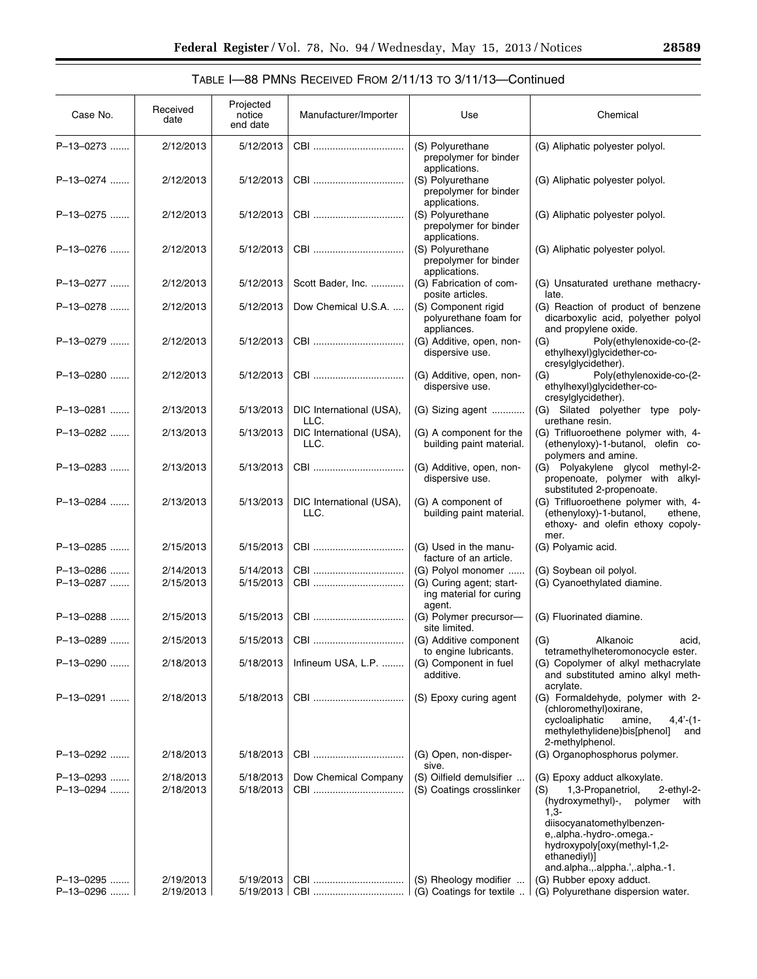# TABLE I—88 PMNS RECEIVED FROM 2/11/13 TO 3/11/13—Continued

| Case No.               | Received<br>date       | Projected<br>notice<br>end date | Manufacturer/Importer            | Use                                                                                 | Chemical                                                                                                                                                              |
|------------------------|------------------------|---------------------------------|----------------------------------|-------------------------------------------------------------------------------------|-----------------------------------------------------------------------------------------------------------------------------------------------------------------------|
| P-13-0273              | 2/12/2013              | 5/12/2013                       | CBI                              | (S) Polyurethane<br>prepolymer for binder<br>applications.                          | (G) Aliphatic polyester polyol.                                                                                                                                       |
| P-13-0274              | 2/12/2013              | 5/12/2013                       | CBI                              | (S) Polyurethane<br>prepolymer for binder<br>applications.                          | (G) Aliphatic polyester polyol.                                                                                                                                       |
| P-13-0275              | 2/12/2013              | 5/12/2013                       | CBI                              | (S) Polyurethane<br>prepolymer for binder<br>applications.                          | (G) Aliphatic polyester polyol.                                                                                                                                       |
| P-13-0276              | 2/12/2013              | 5/12/2013                       | CBI                              | (S) Polyurethane<br>prepolymer for binder<br>applications.                          | (G) Aliphatic polyester polyol.                                                                                                                                       |
| P-13-0277              | 2/12/2013              | 5/12/2013                       | Scott Bader, Inc.                | (G) Fabrication of com-<br>posite articles.                                         | (G) Unsaturated urethane methacry-<br>late.                                                                                                                           |
| P-13-0278              | 2/12/2013              | 5/12/2013                       | Dow Chemical U.S.A.              | (S) Component rigid<br>polyurethane foam for<br>appliances.                         | (G) Reaction of product of benzene<br>dicarboxylic acid, polyether polyol<br>and propylene oxide.                                                                     |
| P-13-0279              | 2/12/2013              | 5/12/2013                       |                                  | (G) Additive, open, non-<br>dispersive use.                                         | Poly(ethylenoxide-co-(2-<br>(G)<br>ethylhexyl)glycidether-co-<br>cresylglycidether).                                                                                  |
| P-13-0280              | 2/12/2013              | 5/12/2013                       | CBI                              | (G) Additive, open, non-<br>dispersive use.                                         | (G)<br>Poly(ethylenoxide-co-(2-<br>ethylhexyl)glycidether-co-<br>cresylglycidether).                                                                                  |
| P-13-0281              | 2/13/2013              | 5/13/2013                       | DIC International (USA),<br>LLC. | (G) Sizing agent                                                                    | (G) Silated polyether type poly-<br>urethane resin.                                                                                                                   |
| P-13-0282              | 2/13/2013              | 5/13/2013                       | DIC International (USA),<br>LLC. | (G) A component for the<br>building paint material.                                 | (G) Trifluoroethene polymer with, 4-<br>(ethenyloxy)-1-butanol, olefin co-<br>polymers and amine.                                                                     |
| P-13-0283              | 2/13/2013              | 5/13/2013                       | CBI                              | (G) Additive, open, non-<br>dispersive use.                                         | (G) Polyakylene glycol methyl-2-<br>propenoate, polymer with alkyl-<br>substituted 2-propenoate.                                                                      |
| P-13-0284              | 2/13/2013              | 5/13/2013                       | DIC International (USA),<br>LLC. | (G) A component of<br>building paint material.                                      | (G) Trifluoroethene polymer with, 4-<br>(ethenyloxy)-1-butanol,<br>ethene,<br>ethoxy- and olefin ethoxy copoly-<br>mer.                                               |
| P-13-0285              | 2/15/2013              | 5/15/2013                       | CBI                              | (G) Used in the manu-<br>facture of an article.                                     | (G) Polyamic acid.                                                                                                                                                    |
| P-13-0286<br>P-13-0287 | 2/14/2013<br>2/15/2013 | 5/14/2013<br>5/15/2013          | CBI<br>CBI                       | (G) Polyol monomer<br>(G) Curing agent; start-<br>ing material for curing<br>agent. | (G) Soybean oil polyol.<br>(G) Cyanoethylated diamine.                                                                                                                |
| P-13-0288              | 2/15/2013              | 5/15/2013                       | CBI                              | (G) Polymer precursor-<br>site limited.                                             | (G) Fluorinated diamine.                                                                                                                                              |
| P-13-0289              | 2/15/2013              | 5/15/2013                       |                                  | (G) Additive component<br>to engine lubricants.                                     | (G)<br>Alkanoic<br>acid,<br>tetramethylheteromonocycle ester.                                                                                                         |
| P-13-0290              | 2/18/2013              | 5/18/2013                       | Infineum USA, L.P.               | (G) Component in fuel<br>additive.                                                  | (G) Copolymer of alkyl methacrylate<br>and substituted amino alkyl meth-<br>acrylate.                                                                                 |
| P-13-0291              | 2/18/2013              | 5/18/2013                       |                                  | (S) Epoxy curing agent                                                              | (G) Formaldehyde, polymer with 2-<br>(chloromethyl) oxirane,<br>cycloaliphatic<br>amine,<br>$4,4'$ - $(1 -$<br>methylethylidene)bis[phenol]<br>and<br>2-methylphenol. |
| P-13-0292              | 2/18/2013              | 5/18/2013                       | CBI                              | (G) Open, non-disper-<br>sive.                                                      | (G) Organophosphorus polymer.                                                                                                                                         |
| P-13-0293<br>P-13-0294 | 2/18/2013<br>2/18/2013 | 5/18/2013<br>5/18/2013          | Dow Chemical Company             | (S) Oilfield demulsifier<br>(S) Coatings crosslinker                                | (G) Epoxy adduct alkoxylate.<br>1,3-Propanetriol,<br>(S)<br>$2$ -ethyl- $2$ -<br>(hydroxymethyl)-,<br>polymer<br>with<br>$1,3-$                                       |
|                        |                        |                                 |                                  |                                                                                     | diisocyanatomethylbenzen-<br>e, alpha.-hydro-.omega.-<br>hydroxypoly[oxy(methyl-1,2-<br>ethanediyl)]<br>and.alpha.,.alppha.',.alpha.-1.                               |
| P-13-0295<br>P-13-0296 | 2/19/2013<br>2/19/2013 | 5/19/2013<br>5/19/2013          | CBI                              | (S) Rheology modifier<br>(G) Coatings for textile                                   | (G) Rubber epoxy adduct.<br>(G) Polyurethane dispersion water.                                                                                                        |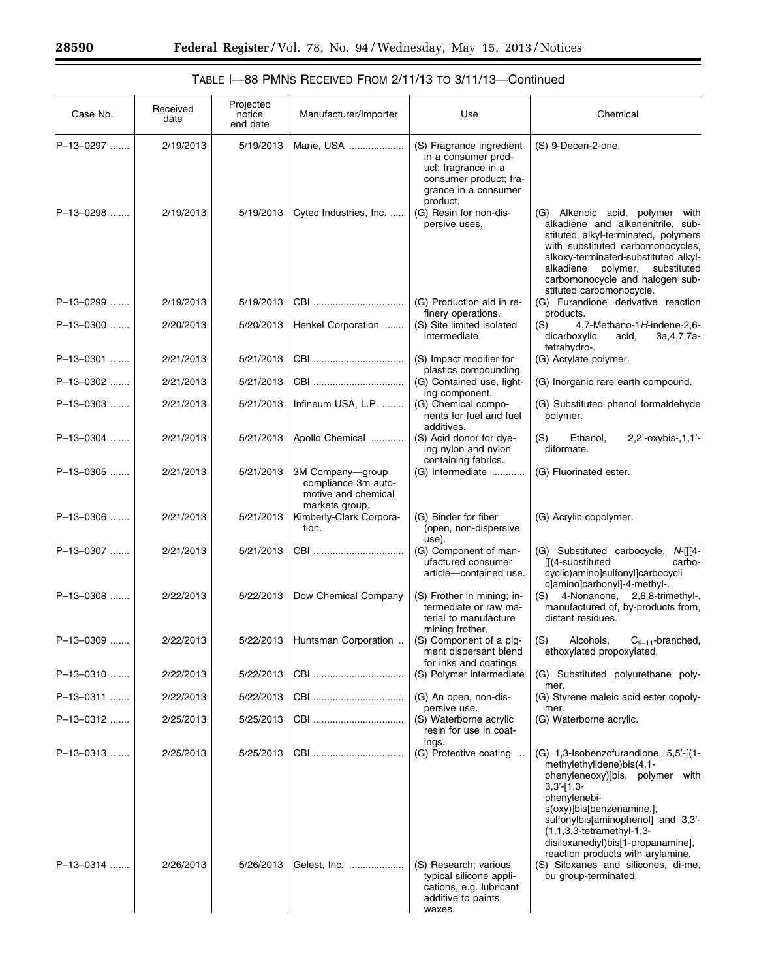| TABLE I-88 PMNS RECEIVED FROM 2/11/13 TO 3/11/13-Continued |  |
|------------------------------------------------------------|--|
|------------------------------------------------------------|--|

| Case No.  | Received<br>date | Projected<br>notice<br>end date | Manufacturer/Importer                                                            | Use                                                                                                                      | Chemical                                                                                                                                                                                                                                                                                                           |
|-----------|------------------|---------------------------------|----------------------------------------------------------------------------------|--------------------------------------------------------------------------------------------------------------------------|--------------------------------------------------------------------------------------------------------------------------------------------------------------------------------------------------------------------------------------------------------------------------------------------------------------------|
| P-13-0297 | 2/19/2013        | 5/19/2013                       | Mane, USA                                                                        | (S) Fragrance ingredient<br>in a consumer prod-<br>uct; fragrance in a<br>consumer product; fra-<br>grance in a consumer | (S) 9-Decen-2-one.                                                                                                                                                                                                                                                                                                 |
| P-13-0298 | 2/19/2013        | 5/19/2013                       | Cytec Industries, Inc.                                                           | product.<br>(G) Resin for non-dis-<br>persive uses.                                                                      | (G) Alkenoic acid, polymer with<br>alkadiene and alkenenitrile, sub-<br>stituted alkyl-terminated, polymers<br>with substituted carbomonocycles,<br>alkoxy-terminated-substituted alkyl-<br>alkadiene<br>substituted<br>polymer,<br>carbomonocycle and halogen sub-<br>stituted carbomonocycle.                    |
| P-13-0299 | 2/19/2013        | 5/19/2013                       | CBI                                                                              | (G) Production aid in re-                                                                                                | (G) Furandione derivative reaction                                                                                                                                                                                                                                                                                 |
| P-13-0300 | 2/20/2013        | 5/20/2013                       | Henkel Corporation                                                               | finery operations.<br>(S) Site limited isolated<br>intermediate.                                                         | products.<br>(S)<br>4,7-Methano-1H-indene-2,6-<br>dicarboxylic<br>acid,<br>3a, 4, 7, 7a<br>tetrahydro-.                                                                                                                                                                                                            |
| P-13-0301 | 2/21/2013        | 5/21/2013                       | CBI                                                                              | (S) Impact modifier for<br>plastics compounding.                                                                         | (G) Acrylate polymer.                                                                                                                                                                                                                                                                                              |
| P-13-0302 | 2/21/2013        | 5/21/2013                       | CBI                                                                              | (G) Contained use, light-<br>ing component.                                                                              | (G) Inorganic rare earth compound.                                                                                                                                                                                                                                                                                 |
| P-13-0303 | 2/21/2013        | 5/21/2013                       | Infineum USA, L.P.                                                               | (G) Chemical compo-<br>nents for fuel and fuel<br>additives.                                                             | (G) Substituted phenol formaldehyde<br>polymer.                                                                                                                                                                                                                                                                    |
| P-13-0304 | 2/21/2013        | 5/21/2013                       | Apollo Chemical                                                                  | (S) Acid donor for dye-<br>ing nylon and nylon<br>containing fabrics.                                                    | (S)<br>Ethanol,<br>$2,2'$ -oxybis- $,1,1'$ -<br>diformate.                                                                                                                                                                                                                                                         |
| P-13-0305 | 2/21/2013        | 5/21/2013                       | 3M Company-group<br>compliance 3m auto-<br>motive and chemical<br>markets group. | (G) Intermediate                                                                                                         | (G) Fluorinated ester.                                                                                                                                                                                                                                                                                             |
| P-13-0306 | 2/21/2013        | 5/21/2013                       | Kimberly-Clark Corpora-<br>tion.                                                 | (G) Binder for fiber<br>(open, non-dispersive<br>use).                                                                   | (G) Acrylic copolymer.                                                                                                                                                                                                                                                                                             |
| P-13-0307 | 2/21/2013        | 5/21/2013                       | CBI                                                                              | (G) Component of man-<br>ufactured consumer<br>article-contained use.                                                    | (G) Substituted carbocycle, N-[[[4-<br>[[(4-substituted<br>carbo-<br>cyclic)amino]sulfonyl]carbocycli<br>claminolcarbonyll-4-methyl-.                                                                                                                                                                              |
| P-13-0308 | 2/22/2013        | 5/22/2013                       | Dow Chemical Company                                                             | (S) Frother in mining; in-<br>termediate or raw ma-<br>terial to manufacture<br>mining frother.                          | 4-Nonanone,<br>2,6,8-trimethyl-,<br>(S)<br>manufactured of, by-products from,<br>distant residues.                                                                                                                                                                                                                 |
| P-13-0309 | 2/22/2013        | 5/22/2013                       | Huntsman Corporation                                                             | (S) Component of a pig-<br>ment dispersant blend<br>for inks and coatings.                                               | (S)<br>$C_{9-11}$ -branched,<br>Alcohols,<br>ethoxylated propoxylated.                                                                                                                                                                                                                                             |
| P-13-0310 | 2/22/2013        | 5/22/2013                       |                                                                                  | (S) Polymer intermediate                                                                                                 | (G) Substituted polyurethane poly-<br>mer.                                                                                                                                                                                                                                                                         |
| P-13-0311 | 2/22/2013        | 5/22/2013                       | CBI                                                                              | (G) An open, non-dis-<br>persive use.                                                                                    | (G) Styrene maleic acid ester copoly-<br>mer.                                                                                                                                                                                                                                                                      |
| P-13-0312 | 2/25/2013        | 5/25/2013                       |                                                                                  | (S) Waterborne acrylic<br>resin for use in coat-<br>ings.                                                                | (G) Waterborne acrylic.                                                                                                                                                                                                                                                                                            |
| P-13-0313 | 2/25/2013        | 5/25/2013                       |                                                                                  | (G) Protective coating                                                                                                   | (G) 1,3-Isobenzofurandione, 5,5'-[(1-<br>methylethylidene)bis(4,1-<br>phenyleneoxy)]bis, polymer with<br>$3,3'-1,3-$<br>phenylenebi-<br>s(oxy)]bis[benzenamine,],<br>sulfonylbis[aminophenol] and 3,3'-<br>$(1,1,3,3$ -tetramethyl-1,3-<br>disiloxanediyl)bis[1-propanamine],<br>reaction products with arylamine. |
| P-13-0314 | 2/26/2013        | 5/26/2013                       | Gelest, Inc.                                                                     | (S) Research; various<br>typical silicone appli-<br>cations, e.g. lubricant<br>additive to paints,<br>waxes.             | (S) Siloxanes and silicones, di-me,<br>bu group-terminated.                                                                                                                                                                                                                                                        |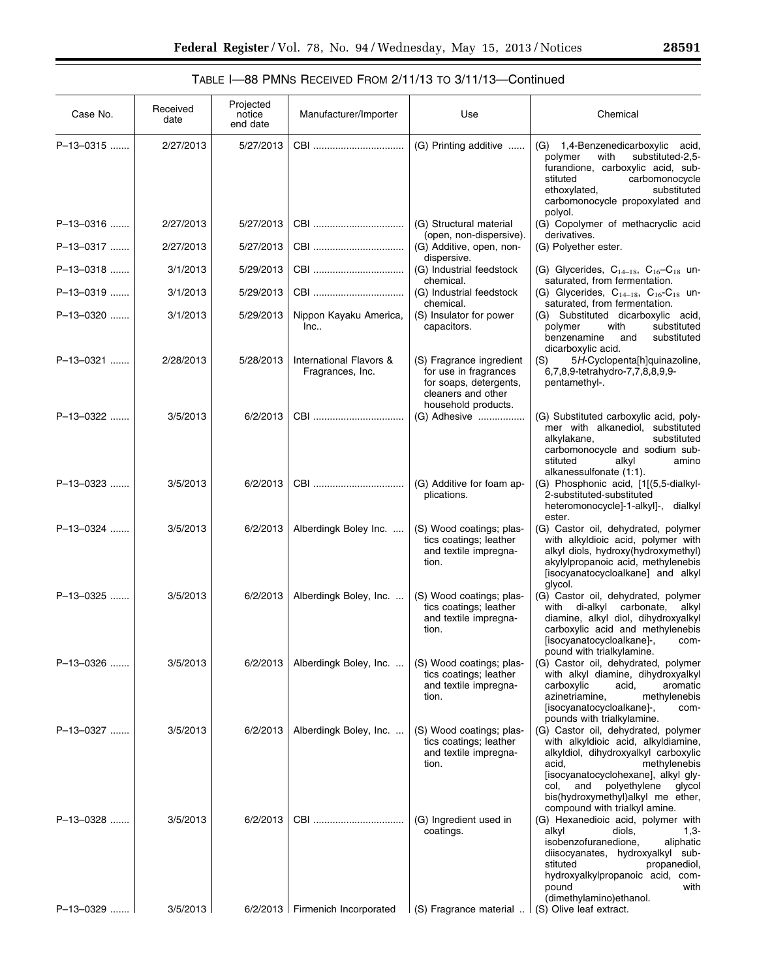# TABLE I—88 PMNS RECEIVED FROM 2/11/13 TO 3/11/13—Continued

| Case No.    | Received<br>date | Projected<br>notice<br>end date | Manufacturer/Importer                       | Use                                                                                                                      | Chemical                                                                                                                                                                                                                                                                                          |
|-------------|------------------|---------------------------------|---------------------------------------------|--------------------------------------------------------------------------------------------------------------------------|---------------------------------------------------------------------------------------------------------------------------------------------------------------------------------------------------------------------------------------------------------------------------------------------------|
| P-13-0315   | 2/27/2013        | 5/27/2013                       | CBI                                         | (G) Printing additive                                                                                                    | (G) 1,4-Benzenedicarboxylic acid,<br>substituted-2,5-<br>polymer<br>with<br>furandione, carboxylic acid, sub-<br>carbomonocycle<br>stituted<br>substituted<br>ethoxylated,<br>carbomonocycle propoxylated and                                                                                     |
| P-13-0316   | 2/27/2013        | 5/27/2013                       | CBI                                         | (G) Structural material<br>(open, non-dispersive).                                                                       | polyol.<br>(G) Copolymer of methacryclic acid<br>derivatives.                                                                                                                                                                                                                                     |
| P-13-0317   | 2/27/2013        | 5/27/2013                       |                                             | (G) Additive, open, non-<br>dispersive.                                                                                  | (G) Polyether ester.                                                                                                                                                                                                                                                                              |
| P-13-0318   | 3/1/2013         | 5/29/2013                       | CBI                                         | (G) Industrial feedstock<br>chemical.                                                                                    | (G) Glycerides, $C_{14-18}$ , $C_{16}-C_{18}$ un-<br>saturated, from fermentation.                                                                                                                                                                                                                |
| P-13-0319   | 3/1/2013         | 5/29/2013                       |                                             | (G) Industrial feedstock<br>chemical.                                                                                    | (G) Glycerides, $C_{14-18}$ , $C_{16}$ - $C_{18}$ un-<br>saturated, from fermentation.                                                                                                                                                                                                            |
| P-13-0320   | 3/1/2013         | 5/29/2013                       | Nippon Kayaku America,<br>Inc               | (S) Insulator for power<br>capacitors.                                                                                   | (G) Substituted dicarboxylic acid,<br>polymer<br>with<br>substituted<br>benzenamine<br>and<br>substituted<br>dicarboxylic acid.                                                                                                                                                                   |
| P-13-0321   | 2/28/2013        | 5/28/2013                       | International Flavors &<br>Fragrances, Inc. | (S) Fragrance ingredient<br>for use in fragrances<br>for soaps, detergents,<br>cleaners and other<br>household products. | 5H-Cyclopenta[h]quinazoline,<br>(S)<br>6,7,8,9-tetrahydro-7,7,8,8,9,9-<br>pentamethyl-.                                                                                                                                                                                                           |
| P-13-0322   | 3/5/2013         | 6/2/2013                        | CBI                                         | (G) Adhesive                                                                                                             | (G) Substituted carboxylic acid, poly-<br>mer with alkanediol, substituted<br>alkylakane,<br>substituted<br>carbomonocycle and sodium sub-<br>alkyl<br>stituted<br>amino<br>alkanessulfonate (1:1).                                                                                               |
| P-13-0323   | 3/5/2013         | 6/2/2013                        | CBI                                         | (G) Additive for foam ap-<br>plications.                                                                                 | (G) Phosphonic acid, [1[(5,5-dialkyl-<br>2-substituted-substituted<br>heteromonocycle]-1-alkyl]-, dialkyl<br>ester.                                                                                                                                                                               |
| P-13-0324   | 3/5/2013         | 6/2/2013                        | Alberdingk Boley Inc.                       | (S) Wood coatings; plas-<br>tics coatings; leather<br>and textile impregna-<br>tion.                                     | (G) Castor oil, dehydrated, polymer<br>with alkyldioic acid, polymer with<br>alkyl diols, hydroxy(hydroxymethyl)<br>akylylpropanoic acid, methylenebis<br>[isocyanatocycloalkane] and alkyl<br>glycol.                                                                                            |
| P-13-0325   | 3/5/2013         | 6/2/2013                        | Alberdingk Boley, Inc.                      | (S) Wood coatings; plas-<br>tics coatings; leather<br>and textile impregna-<br>tion.                                     | (G) Castor oil, dehydrated, polymer<br>with di-alkyl<br>carbonate,<br>alkyl<br>diamine, alkyl diol, dihydroxyalkyl<br>carboxylic acid and methylenebis<br>[isocyanatocycloalkane]-,<br>com-<br>pound with trialkylamine.                                                                          |
| P-13-0326   | 3/5/2013         | 6/2/2013                        | Alberdingk Boley, Inc.                      | (S) Wood coatings; plas-<br>tics coatings; leather<br>and textile impregna-<br>tion.                                     | (G) Castor oil, dehydrated, polymer<br>with alkyl diamine, dihydroxyalkyl<br>carboxylic<br>acid,<br>aromatic<br>azinetriamine,<br>methylenebis<br>[isocyanatocycloalkane]-,<br>com-<br>pounds with trialkylamine.                                                                                 |
| P-13-0327   | 3/5/2013         | 6/2/2013                        | Alberdingk Boley, Inc.                      | (S) Wood coatings; plas-<br>tics coatings; leather<br>and textile impregna-<br>tion.                                     | (G) Castor oil, dehydrated, polymer<br>with alkyldioic acid, alkyldiamine,<br>alkyldiol, dihydroxyalkyl carboxylic<br>acid,<br>methylenebis<br>[isocyanatocyclohexane], alkyl gly-<br>col.<br>and<br>polyethylene<br>glycol<br>bis(hydroxymethyl)alkyl me ether,<br>compound with trialkyl amine. |
| $P-13-0328$ | 3/5/2013         | 6/2/2013                        |                                             | (G) Ingredient used in<br>coatings.                                                                                      | (G) Hexanedioic acid, polymer with<br>alkyl<br>diols,<br>$1,3-$<br>isobenzofuranedione,<br>aliphatic<br>diisocyanates, hydroxyalkyl sub-<br>stituted<br>propanediol,<br>hydroxyalkylpropanoic acid, com-<br>pound<br>with<br>(dimethylamino)ethanol.                                              |
| P-13-0329.  | 3/5/2013         |                                 | $6/2/2013$ Firmenich Incorporated           | (S) Fragrance material                                                                                                   | (S) Olive leaf extract.                                                                                                                                                                                                                                                                           |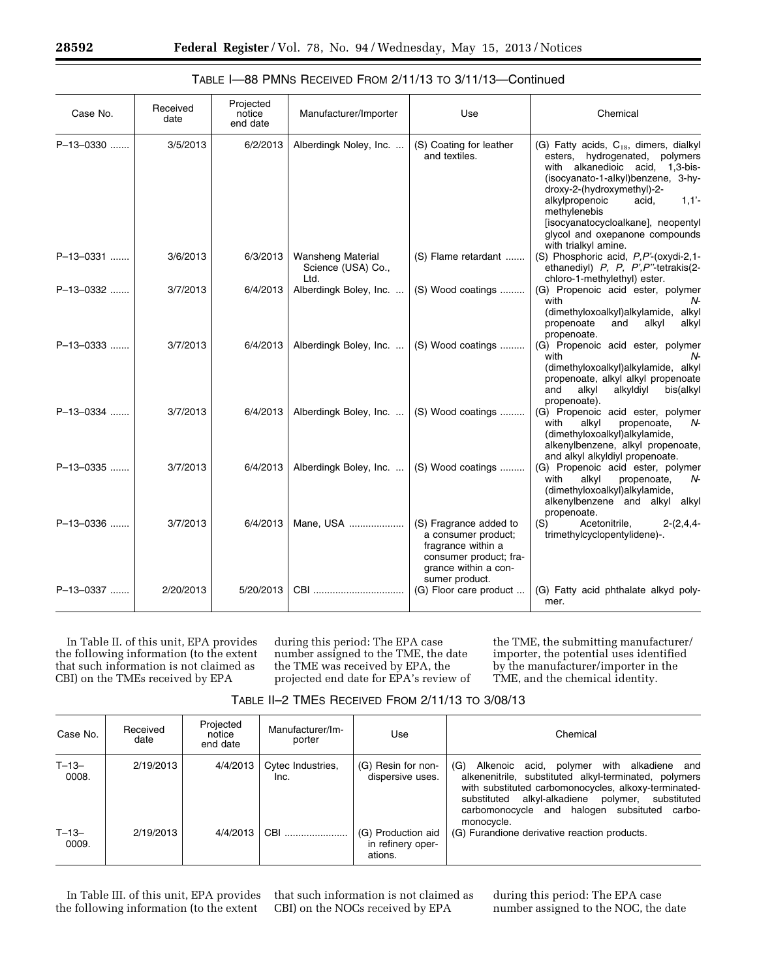| Case No.    | Received<br>date | Projected<br>notice<br>end date | Manufacturer/Importer                                  | Use                                                                                                                                     | Chemical                                                                                                                                                                                                                                                                                                                                          |
|-------------|------------------|---------------------------------|--------------------------------------------------------|-----------------------------------------------------------------------------------------------------------------------------------------|---------------------------------------------------------------------------------------------------------------------------------------------------------------------------------------------------------------------------------------------------------------------------------------------------------------------------------------------------|
| P-13-0330   | 3/5/2013         | 6/2/2013                        | Alberdingk Noley, Inc.                                 | (S) Coating for leather<br>and textiles.                                                                                                | (G) Fatty acids, C <sub>18</sub> , dimers, dialkyl<br>esters, hydrogenated,<br>polymers<br>with alkanedioic acid, 1,3-bis-<br>(isocyanato-1-alkyl)benzene, 3-hy-<br>droxy-2-(hydroxymethyl)-2-<br>alkylpropenoic<br>acid,<br>1,1'<br>methylenebis<br>[isocyanatocycloalkane], neopentyl<br>glycol and oxepanone compounds<br>with trialkyl amine. |
| P-13-0331   | 3/6/2013         | 6/3/2013                        | <b>Wansheng Material</b><br>Science (USA) Co.,<br>Ltd. | (S) Flame retardant                                                                                                                     | (S) Phosphoric acid, P,P'-(oxydi-2,1-<br>ethanediyl) P, P, P', P"-tetrakis(2-<br>chloro-1-methylethyl) ester.                                                                                                                                                                                                                                     |
| P-13-0332   | 3/7/2013         | 6/4/2013                        | Alberdingk Boley, Inc.                                 | (S) Wood coatings                                                                                                                       | (G) Propenoic acid ester, polymer<br>with<br>N-<br>(dimethyloxoalkyl) alkylamide, alkyl<br>propenoate<br>alkyl<br>and<br>alkyl<br>propenoate.                                                                                                                                                                                                     |
| $P-13-0333$ | 3/7/2013         | 6/4/2013                        | Alberdingk Boley, Inc.                                 | (S) Wood coatings                                                                                                                       | (G) Propenoic acid ester, polymer<br>N-<br>with<br>(dimethyloxoalkyl) alkylamide, alkyl<br>propenoate, alkyl alkyl propenoate<br>alkyldiyl<br>alkyl<br>bis(alkyl<br>and<br>propenoate).                                                                                                                                                           |
| P-13-0334   | 3/7/2013         | 6/4/2013                        | Alberdingk Boley, Inc.                                 | (S) Wood coatings                                                                                                                       | (G) Propenoic acid ester, polymer<br>propenoate,<br>with<br>alkyl<br>N-<br>(dimethyloxoalkyl)alkylamide,<br>alkenylbenzene, alkyl propenoate,<br>and alkyl alkyldiyl propenoate.                                                                                                                                                                  |
| P-13-0335   | 3/7/2013         | 6/4/2013                        | Alberdingk Boley, Inc.                                 | (S) Wood coatings                                                                                                                       | (G) Propenoic acid ester, polymer<br>with<br>alkyl<br>propenoate,<br>N-<br>(dimethyloxoalkyl)alkylamide,<br>alkenylbenzene and alkyl<br>alkyl<br>propenoate.                                                                                                                                                                                      |
| $P-13-0336$ | 3/7/2013         | 6/4/2013                        | Mane, USA                                              | (S) Fragrance added to<br>a consumer product;<br>fragrance within a<br>consumer product; fra-<br>grance within a con-<br>sumer product. | Acetonitrile,<br>$2-(2,4,4-$<br>(S)<br>trimethylcyclopentylidene)-.                                                                                                                                                                                                                                                                               |
| P-13-0337   | 2/20/2013        | 5/20/2013                       |                                                        | (G) Floor care product                                                                                                                  | (G) Fatty acid phthalate alkyd poly-<br>mer.                                                                                                                                                                                                                                                                                                      |

# TABLE I—88 PMNS RECEIVED FROM 2/11/13 TO 3/11/13—Continued

In Table II. of this unit, EPA provides the following information (to the extent that such information is not claimed as CBI) on the TMEs received by EPA

during this period: The EPA case number assigned to the TME, the date the TME was received by EPA, the projected end date for EPA's review of the TME, the submitting manufacturer/ importer, the potential uses identified by the manufacturer/importer in the TME, and the chemical identity.

|  | TABLE II-2 TMES RECEIVED FROM 2/11/13 TO 3/08/13 |
|--|--------------------------------------------------|
|--|--------------------------------------------------|

| Case No.            | Received<br>date | Projected<br>notice<br>end date | Manufacturer/Im-<br>porter | Use                                                | Chemical                                                                                                                                                                                                                                                                                                 |
|---------------------|------------------|---------------------------------|----------------------------|----------------------------------------------------|----------------------------------------------------------------------------------------------------------------------------------------------------------------------------------------------------------------------------------------------------------------------------------------------------------|
| $T - 13 -$<br>0008. | 2/19/2013        | 4/4/2013                        | Cytec Industries.<br>Inc.  | (G) Resin for non-<br>dispersive uses.             | (G)<br>with alkadiene and<br>acid,<br>polymer<br>Alkenoic<br>alkenenitrile, substituted alkyl-terminated, polymers<br>with substituted carbomonocycles, alkoxy-terminated-<br>alkyl-alkadiene<br>substituted<br>substituted<br>polymer,<br>carbomonocycle and halogen subsituted<br>carbo-<br>monocycle. |
| $T - 13 -$<br>0009. | 2/19/2013        | 4/4/2013                        | CBI                        | (G) Production aid<br>in refinery oper-<br>ations. | (G) Furandione derivative reaction products.                                                                                                                                                                                                                                                             |

In Table III. of this unit, EPA provides the following information (to the extent

that such information is not claimed as CBI) on the NOCs received by EPA

during this period: The EPA case number assigned to the NOC, the date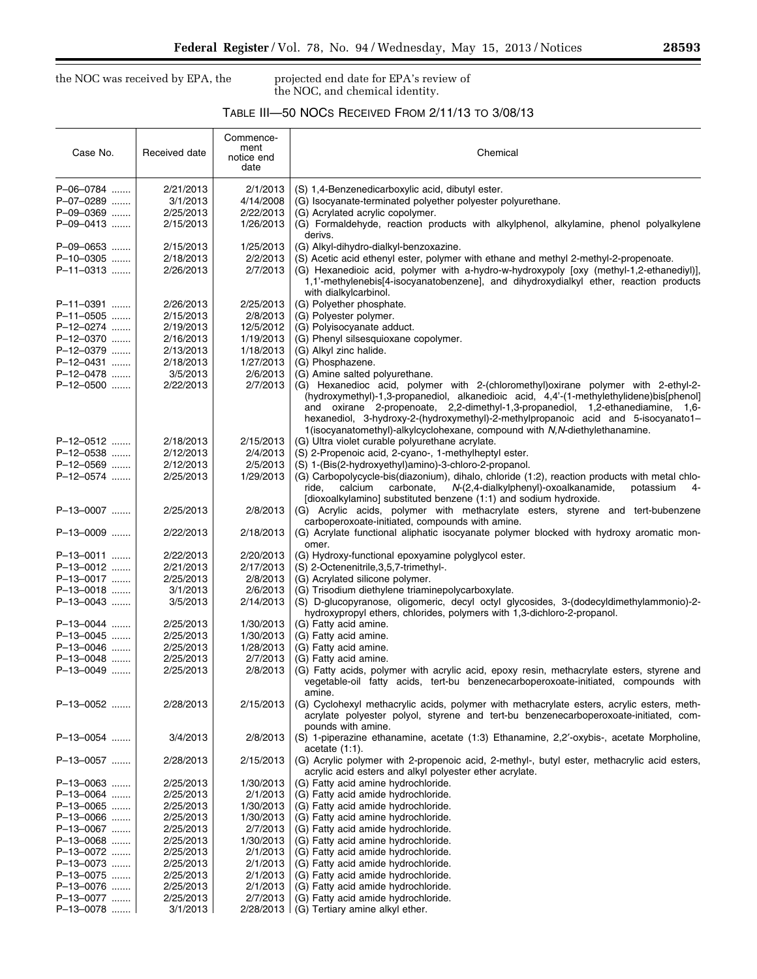-

the NOC was received by EPA, the projected end date for EPA's review of the NOC, and chemical identity.

# TABLE III—50 NOCS RECEIVED FROM 2/11/13 TO 3/08/13

|                        |                       | notice end<br>date    |                                                                                                                                                                                                                                                                                                                                                                                                                                     |
|------------------------|-----------------------|-----------------------|-------------------------------------------------------------------------------------------------------------------------------------------------------------------------------------------------------------------------------------------------------------------------------------------------------------------------------------------------------------------------------------------------------------------------------------|
| P-06-0784              | 2/21/2013             | 2/1/2013              | (S) 1,4-Benzenedicarboxylic acid, dibutyl ester.                                                                                                                                                                                                                                                                                                                                                                                    |
| P-07-0289              | 3/1/2013              | 4/14/2008             | (G) Isocyanate-terminated polyether polyester polyurethane.                                                                                                                                                                                                                                                                                                                                                                         |
| P-09-0369              | 2/25/2013             | 2/22/2013             | (G) Acrylated acrylic copolymer.                                                                                                                                                                                                                                                                                                                                                                                                    |
| P-09-0413              | 2/15/2013             | 1/26/2013             | (G) Formaldehyde, reaction products with alkylphenol, alkylamine, phenol polyalkylene<br>derivs.                                                                                                                                                                                                                                                                                                                                    |
| P-09-0653              | 2/15/2013             | 1/25/2013             | (G) Alkyl-dihydro-dialkyl-benzoxazine.                                                                                                                                                                                                                                                                                                                                                                                              |
| P-10-0305              | 2/18/2013             | 2/2/2013              | (S) Acetic acid ethenyl ester, polymer with ethane and methyl 2-methyl-2-propenoate.                                                                                                                                                                                                                                                                                                                                                |
| P-11-0313              | 2/26/2013             | 2/7/2013              | (G) Hexanedioic acid, polymer with a-hydro-w-hydroxypoly [oxy (methyl-1,2-ethanediyl)],<br>1,1'-methylenebis[4-isocyanatobenzene], and dihydroxydialkyl ether, reaction products<br>with dialkylcarbinol.                                                                                                                                                                                                                           |
| P-11-0391              | 2/26/2013             | 2/25/2013             | (G) Polyether phosphate.                                                                                                                                                                                                                                                                                                                                                                                                            |
| P-11-0505              | 2/15/2013             | 2/8/2013              | (G) Polyester polymer.                                                                                                                                                                                                                                                                                                                                                                                                              |
| P-12-0274              | 2/19/2013             | 12/5/2012             | (G) Polyisocyanate adduct.                                                                                                                                                                                                                                                                                                                                                                                                          |
| P-12-0370              | 2/16/2013             | 1/19/2013             | (G) Phenyl silsesquioxane copolymer.                                                                                                                                                                                                                                                                                                                                                                                                |
| P-12-0379              | 2/13/2013             | 1/18/2013             | (G) Alkyl zinc halide.                                                                                                                                                                                                                                                                                                                                                                                                              |
| P-12-0431              | 2/18/2013             | 1/27/2013             | (G) Phosphazene.                                                                                                                                                                                                                                                                                                                                                                                                                    |
| P-12-0478              | 3/5/2013              | 2/6/2013              | (G) Amine salted polyurethane.                                                                                                                                                                                                                                                                                                                                                                                                      |
| P-12-0500              | 2/22/2013             | 2/7/2013              | (G) Hexanedioc acid, polymer with 2-(chloromethyl) oxirane polymer with 2-ethyl-2-<br>(hydroxymethyl)-1,3-propanediol, alkanedioic acid, 4,4'-(1-methylethylidene)bis[phenol]<br>and oxirane 2-propenoate, 2,2-dimethyl-1,3-propanediol, 1,2-ethanediamine, 1,6-<br>hexanediol, 3-hydroxy-2-(hydroxymethyl)-2-methylpropanoic acid and 5-isocyanato1-<br>1(isocyanatomethyl)-alkylcyclohexane, compound with N,N-diethylethanamine. |
| P-12-0512              | 2/18/2013             | 2/15/2013             | (G) Ultra violet curable polyurethane acrylate.                                                                                                                                                                                                                                                                                                                                                                                     |
| P-12-0538              | 2/12/2013             | 2/4/2013              | (S) 2-Propenoic acid, 2-cyano-, 1-methylheptyl ester.                                                                                                                                                                                                                                                                                                                                                                               |
| P-12-0569              | 2/12/2013             | 2/5/2013              | (S) 1-(Bis(2-hydroxyethyl)amino)-3-chloro-2-propanol.                                                                                                                                                                                                                                                                                                                                                                               |
| P-12-0574              | 2/25/2013             | 1/29/2013             | (G) Carbopolycycle-bis(diazonium), dihalo, chloride (1:2), reaction products with metal chlo-<br>N-(2,4-dialkylphenyl)-oxoalkanamide,<br>calcium<br>carbonate,<br>potassium<br>ride,<br>4-<br>[dioxoalkylamino] substituted benzene (1:1) and sodium hydroxide.                                                                                                                                                                     |
| P-13-0007              | 2/25/2013             | 2/8/2013              | (G) Acrylic acids, polymer with methacrylate esters, styrene and tert-bubenzene<br>carboperoxoate-initiated, compounds with amine.                                                                                                                                                                                                                                                                                                  |
| P-13-0009              | 2/22/2013             | 2/18/2013             | (G) Acrylate functional aliphatic isocyanate polymer blocked with hydroxy aromatic mon-<br>omer.                                                                                                                                                                                                                                                                                                                                    |
| P-13-0011              | 2/22/2013             | 2/20/2013             | (G) Hydroxy-functional epoxyamine polyglycol ester.                                                                                                                                                                                                                                                                                                                                                                                 |
| P-13-0012              | 2/21/2013             | 2/17/2013             | (S) 2-Octenenitrile, 3, 5, 7-trimethyl-.                                                                                                                                                                                                                                                                                                                                                                                            |
| P-13-0017              | 2/25/2013             | 2/8/2013              | (G) Acrylated silicone polymer.                                                                                                                                                                                                                                                                                                                                                                                                     |
| P-13-0018              | 3/1/2013              | 2/6/2013              | (G) Trisodium diethylene triaminepolycarboxylate.                                                                                                                                                                                                                                                                                                                                                                                   |
| P-13-0043              | 3/5/2013              | 2/14/2013             | (S) D-glucopyranose, oligomeric, decyl octyl glycosides, 3-(dodecyldimethylammonio)-2-<br>hydroxypropyl ethers, chlorides, polymers with 1,3-dichloro-2-propanol.                                                                                                                                                                                                                                                                   |
| P-13-0044              | 2/25/2013             | 1/30/2013             | (G) Fatty acid amine.                                                                                                                                                                                                                                                                                                                                                                                                               |
| P-13-0045              | 2/25/2013             | 1/30/2013             | (G) Fatty acid amine.                                                                                                                                                                                                                                                                                                                                                                                                               |
| P-13-0046              | 2/25/2013             | 1/28/2013             | (G) Fatty acid amine.                                                                                                                                                                                                                                                                                                                                                                                                               |
| P-13-0048              | 2/25/2013             | 2/7/2013              | (G) Fatty acid amine.                                                                                                                                                                                                                                                                                                                                                                                                               |
| P-13-0049              | 2/25/2013             | 2/8/2013              | (G) Fatty acids, polymer with acrylic acid, epoxy resin, methacrylate esters, styrene and<br>vegetable-oil fatty acids, tert-bu benzenecarboperoxoate-initiated, compounds with<br>amine.                                                                                                                                                                                                                                           |
| P-13-0052              | 2/28/2013             | 2/15/2013             | (G) Cyclohexyl methacrylic acids, polymer with methacrylate esters, acrylic esters, meth-<br>acrylate polyester polyol, styrene and tert-bu benzenecarboperoxoate-initiated, com-<br>pounds with amine.                                                                                                                                                                                                                             |
| P-13-0054              | 3/4/2013              | 2/8/2013              | (S) 1-piperazine ethanamine, acetate (1:3) Ethanamine, 2,2'-oxybis-, acetate Morpholine,<br>acetate $(1:1)$ .                                                                                                                                                                                                                                                                                                                       |
| P-13-0057              | 2/28/2013             | 2/15/2013             | (G) Acrylic polymer with 2-propenoic acid, 2-methyl-, butyl ester, methacrylic acid esters,<br>acrylic acid esters and alkyl polyester ether acrylate.                                                                                                                                                                                                                                                                              |
| P-13-0063              | 2/25/2013             | 1/30/2013             | (G) Fatty acid amine hydrochloride.                                                                                                                                                                                                                                                                                                                                                                                                 |
| P-13-0064              | 2/25/2013             | 2/1/2013              | (G) Fatty acid amide hydrochloride.                                                                                                                                                                                                                                                                                                                                                                                                 |
| P-13-0065              | 2/25/2013             | 1/30/2013             | (G) Fatty acid amide hydrochloride.                                                                                                                                                                                                                                                                                                                                                                                                 |
| P-13-0066              | 2/25/2013             | 1/30/2013             | (G) Fatty acid amine hydrochloride.                                                                                                                                                                                                                                                                                                                                                                                                 |
| P-13-0067              | 2/25/2013             | 2/7/2013              | (G) Fatty acid amide hydrochloride.                                                                                                                                                                                                                                                                                                                                                                                                 |
| P-13-0068              | 2/25/2013             | 1/30/2013             | (G) Fatty acid amine hydrochloride.                                                                                                                                                                                                                                                                                                                                                                                                 |
| P-13-0072              | 2/25/2013             | 2/1/2013              | (G) Fatty acid amide hydrochloride.                                                                                                                                                                                                                                                                                                                                                                                                 |
| P-13-0073              | 2/25/2013             | 2/1/2013              | (G) Fatty acid amide hydrochloride.                                                                                                                                                                                                                                                                                                                                                                                                 |
| P-13-0075              | 2/25/2013             | 2/1/2013              | (G) Fatty acid amide hydrochloride.                                                                                                                                                                                                                                                                                                                                                                                                 |
| P-13-0076              | 2/25/2013             | 2/1/2013              | (G) Fatty acid amide hydrochloride.                                                                                                                                                                                                                                                                                                                                                                                                 |
| P-13-0077<br>P-13-0078 | 2/25/2013<br>3/1/2013 | 2/7/2013<br>2/28/2013 | (G) Fatty acid amide hydrochloride.<br>(G) Tertiary amine alkyl ether.                                                                                                                                                                                                                                                                                                                                                              |